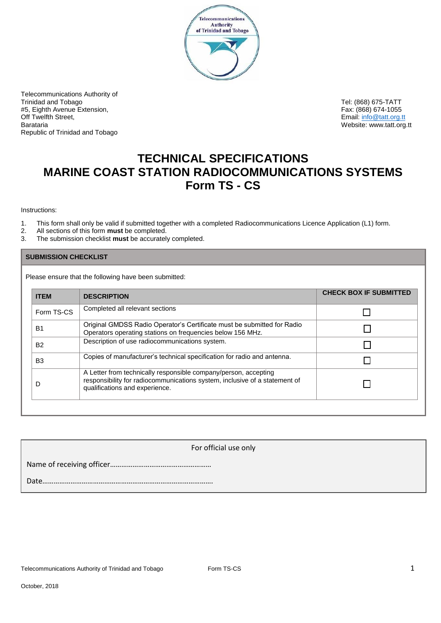

Telecommunications Authority of Trinidad and Tobago Tel: (868) 675-TATT % #5, Eighth Avenue Extension, #5, Eighth Avenue Extension, #5, Eighth Avenue Extension, #5, Eighth Avenue Extension,<br>Off Twelfth Street, #5, Eighth Street, #5, Eighth Street, #5, Email: info@tatt.org.t Off Twelfth Street, Email: info@tatt.org.tt Republic of Trinidad and Tobago

Website: www.tatt.org.tt

# **TECHNICAL SPECIFICATIONS MARINE COAST STATION RADIOCOMMUNICATIONS SYSTEMS Form TS - CS**

### Instructions:

- 1. This form shall only be valid if submitted together with a completed Radiocommunications Licence Application (L1) form.<br>2. All sections of this form **must** be completed.
- 2. All sections of this form **must** be completed.
- 3. The submission checklist **must** be accurately completed.

### **SUBMISSION CHECKLIST**

Please ensure that the following have been submitted:

| <b>ITEM</b>    | <b>DESCRIPTION</b>                                                                                                                                                              | <b>CHECK BOX IF SUBMITTED</b> |
|----------------|---------------------------------------------------------------------------------------------------------------------------------------------------------------------------------|-------------------------------|
| Form TS-CS     | Completed all relevant sections                                                                                                                                                 |                               |
| <b>B1</b>      | Original GMDSS Radio Operator's Certificate must be submitted for Radio<br>Operators operating stations on frequencies below 156 MHz.                                           |                               |
| <b>B2</b>      | Description of use radiocommunications system.                                                                                                                                  |                               |
| B <sub>3</sub> | Copies of manufacturer's technical specification for radio and antenna.                                                                                                         |                               |
| D              | A Letter from technically responsible company/person, accepting<br>responsibility for radiocommunications system, inclusive of a statement of<br>qualifications and experience. |                               |

| For official use only |  |  |
|-----------------------|--|--|
|                       |  |  |
| Date.                 |  |  |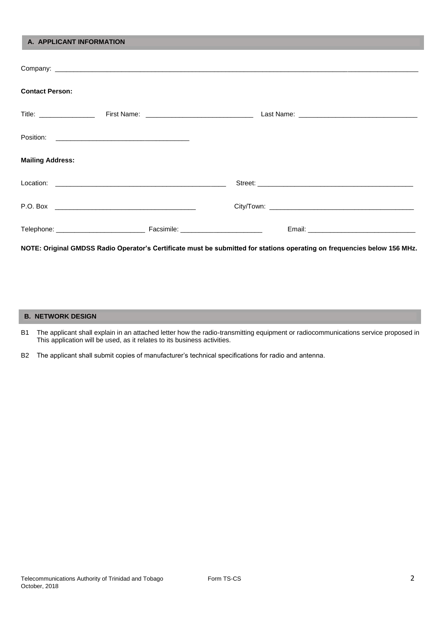| A. APPLICANT INFORMATION |                                                                                                                          |  |
|--------------------------|--------------------------------------------------------------------------------------------------------------------------|--|
|                          |                                                                                                                          |  |
| <b>Contact Person:</b>   |                                                                                                                          |  |
|                          |                                                                                                                          |  |
|                          |                                                                                                                          |  |
| <b>Mailing Address:</b>  |                                                                                                                          |  |
|                          |                                                                                                                          |  |
|                          |                                                                                                                          |  |
|                          |                                                                                                                          |  |
|                          | NOTE: Original GMDSS Radio Operator's Certificate must be submitted for stations operating on frequencies below 156 MHz. |  |

**B. NETWORK DESIGN**

- B1 The applicant shall explain in an attached letter how the radio-transmitting equipment or radiocommunications service proposed in This application will be used, as it relates to its business activities.
- B2 The applicant shall submit copies of manufacturer's technical specifications for radio and antenna.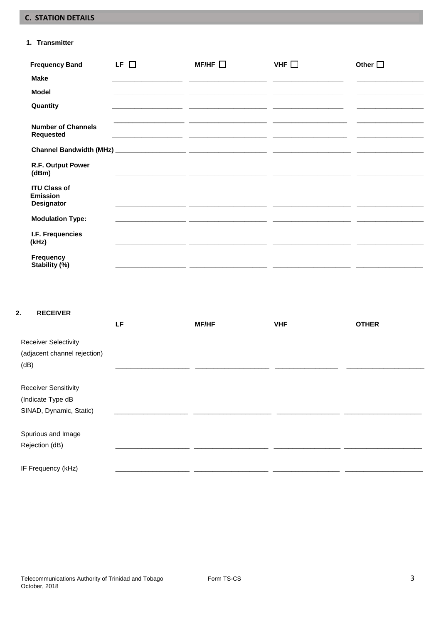## **C. STATION DETAILS**

### 1. Transmitter

| <b>Frequency Band</b>                                | LF $\Box$ | MF/HF $\square$                                                                                                      | VHF $\Box$ | Other $\square$ |
|------------------------------------------------------|-----------|----------------------------------------------------------------------------------------------------------------------|------------|-----------------|
| <b>Make</b>                                          |           |                                                                                                                      |            |                 |
| <b>Model</b>                                         |           |                                                                                                                      |            |                 |
| Quantity                                             |           |                                                                                                                      |            |                 |
| <b>Number of Channels</b><br><b>Requested</b>        |           |                                                                                                                      |            |                 |
|                                                      |           |                                                                                                                      |            |                 |
| R.F. Output Power<br>(dBm)                           |           |                                                                                                                      |            |                 |
| <b>ITU Class of</b><br><b>Emission</b><br>Designator |           |                                                                                                                      |            |                 |
| <b>Modulation Type:</b>                              |           |                                                                                                                      |            |                 |
| I.F. Frequencies<br>(kHz)                            |           |                                                                                                                      |            |                 |
| Frequency<br>Stability (%)                           |           | <u> 2000 - Jan James James Jan James James James James James James James James James James James James James Jam</u> |            |                 |

| <b>RECEIVER</b><br>2.        |     |              |            |              |
|------------------------------|-----|--------------|------------|--------------|
|                              | LF. | <b>MF/HF</b> | <b>VHF</b> | <b>OTHER</b> |
| <b>Receiver Selectivity</b>  |     |              |            |              |
| (adjacent channel rejection) |     |              |            |              |
| (dB)                         |     |              |            |              |
|                              |     |              |            |              |
| <b>Receiver Sensitivity</b>  |     |              |            |              |
| (Indicate Type dB            |     |              |            |              |
| SINAD, Dynamic, Static)      |     |              |            |              |
|                              |     |              |            |              |
| Spurious and Image           |     |              |            |              |
| Rejection (dB)               |     |              |            |              |
|                              |     |              |            |              |
| IF Frequency (kHz)           |     |              |            |              |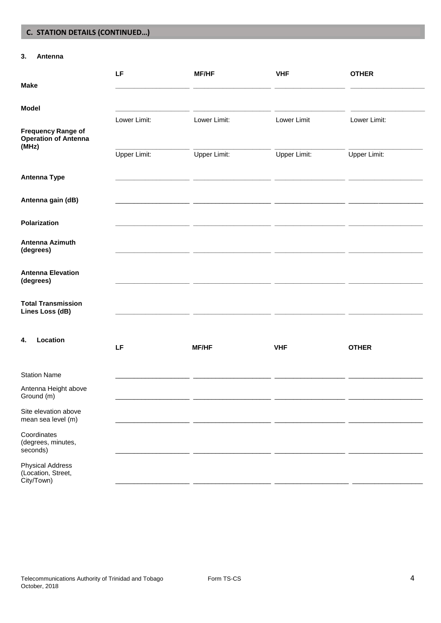## **C. STATION DETAILS (CONTINUED…)**

### **3. Antenna**

|                                                                   | LF                           | <b>MF/HF</b>                        | <b>VHF</b>                  | <b>OTHER</b>                 |  |
|-------------------------------------------------------------------|------------------------------|-------------------------------------|-----------------------------|------------------------------|--|
| <b>Make</b>                                                       |                              |                                     |                             |                              |  |
| <b>Model</b>                                                      |                              |                                     |                             |                              |  |
| <b>Frequency Range of</b><br><b>Operation of Antenna</b><br>(MHz) | Lower Limit:<br>Upper Limit: | Lower Limit:<br><b>Upper Limit:</b> | Lower Limit<br>Upper Limit: | Lower Limit:<br>Upper Limit: |  |
| <b>Antenna Type</b>                                               |                              |                                     |                             |                              |  |
| Antenna gain (dB)                                                 |                              |                                     |                             |                              |  |
| Polarization                                                      |                              |                                     |                             |                              |  |
| Antenna Azimuth<br>(degrees)                                      |                              |                                     |                             |                              |  |
| <b>Antenna Elevation</b><br>(degrees)                             |                              |                                     |                             |                              |  |
| <b>Total Transmission</b><br>Lines Loss (dB)                      |                              |                                     |                             |                              |  |
| Location<br>4.                                                    | LF                           | <b>MF/HF</b>                        | <b>VHF</b>                  | <b>OTHER</b>                 |  |
| <b>Station Name</b>                                               |                              |                                     |                             |                              |  |
| Antenna Height above<br>Ground (m)                                |                              |                                     |                             |                              |  |
| Site elevation above<br>mean sea level (m)                        |                              |                                     |                             |                              |  |
| Coordinates<br>(degrees, minutes,<br>seconds)                     |                              |                                     |                             |                              |  |
| <b>Physical Address</b><br>(Location, Street,<br>City/Town)       |                              |                                     |                             |                              |  |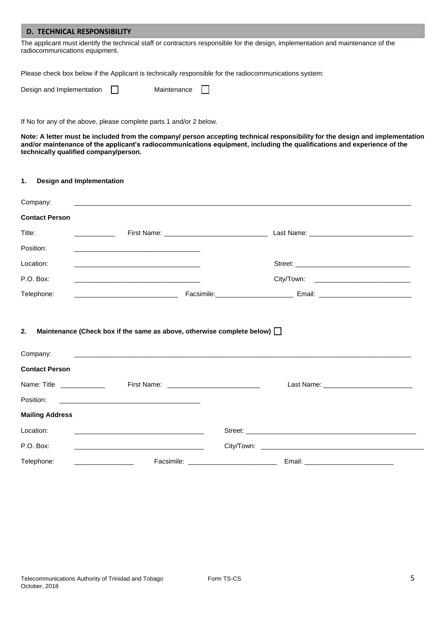### **D. TECHNICAL RESPONSIBILITY**

The applicant must identify the technical staff or contractors responsible for the design, implementation and maintenance of the radiocommunications equipment.

Please check box below if the Applicant is technically responsible for the radiocommunications system:

| Design and Implementation | Maintenance |  |
|---------------------------|-------------|--|
|                           |             |  |

If No for any of the above, please complete parts 1 and/or 2 below.

**Note: A letter must be included from the company/ person accepting technical responsibility for the design and implementation**  and/or maintenance of the applicant's radiocommunications equipment, including the qualifications and experience of the **technically qualified company/person.**

#### **1. Design and Implementation**

| Company:                 |                                                                                                                                                                                                                                      |                                                                                   |  |
|--------------------------|--------------------------------------------------------------------------------------------------------------------------------------------------------------------------------------------------------------------------------------|-----------------------------------------------------------------------------------|--|
| <b>Contact Person</b>    |                                                                                                                                                                                                                                      |                                                                                   |  |
| Title:                   |                                                                                                                                                                                                                                      |                                                                                   |  |
| Position:                | <u> 1989 - Johann John Stone, mars eta biztanleria (h. 1989).</u>                                                                                                                                                                    |                                                                                   |  |
| Location:                |                                                                                                                                                                                                                                      |                                                                                   |  |
| P.O. Box:                |                                                                                                                                                                                                                                      | City/Town: _______________________________                                        |  |
| Telephone:               |                                                                                                                                                                                                                                      | Facsimile: ___________________________________ Email: ___________________________ |  |
| Company:                 | <u> 1980 - Andrea Santa Andrea Santa Andrea Santa Andrea Santa Andrea Santa Andrea Santa Andrea Santa Andrea San</u>                                                                                                                 |                                                                                   |  |
| <b>Contact Person</b>    |                                                                                                                                                                                                                                      |                                                                                   |  |
| Name: Title ____________ |                                                                                                                                                                                                                                      |                                                                                   |  |
|                          |                                                                                                                                                                                                                                      |                                                                                   |  |
| <b>Mailing Address</b>   |                                                                                                                                                                                                                                      |                                                                                   |  |
| Location:                | <u> 2000 - Johann John Harry Harry Harry Harry Harry Harry Harry Harry Harry Harry Harry Harry Harry Harry Harry Harry Harry Harry Harry Harry Harry Harry Harry Harry Harry Harry Harry Harry Harry Harry Harry Harry Harry Har</u> |                                                                                   |  |
| P.O. Box:                |                                                                                                                                                                                                                                      |                                                                                   |  |
|                          | <u> 1989 - Johann John Stein, markin fan it ferskearre fan it ferskearre fan it ferskearre fan it ferskearre fan</u>                                                                                                                 |                                                                                   |  |